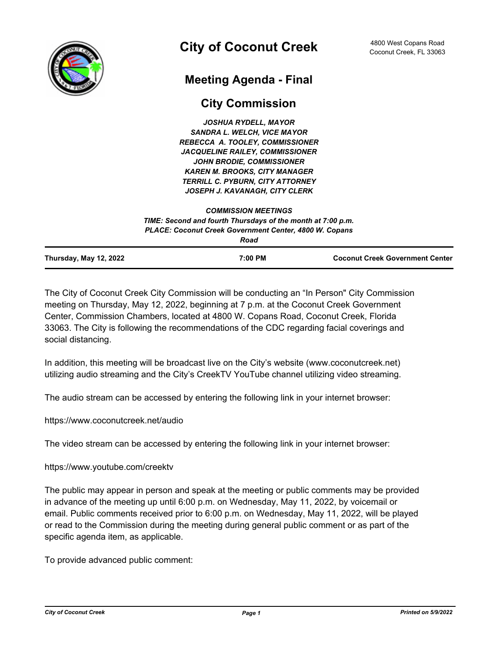

# **Meeting Agenda - Final**

# **City Commission**

*JOSHUA RYDELL, MAYOR SANDRA L. WELCH, VICE MAYOR REBECCA A. TOOLEY, COMMISSIONER JACQUELINE RAILEY, COMMISSIONER JOHN BRODIE, COMMISSIONER KAREN M. BROOKS, CITY MANAGER TERRILL C. PYBURN, CITY ATTORNEY JOSEPH J. KAVANAGH, CITY CLERK*

|                               | TIME: Second and fourth Thursdays of the month at 7:00 p.m.<br><b>PLACE: Coconut Creek Government Center, 4800 W. Copans</b><br>Road |                                        |
|-------------------------------|--------------------------------------------------------------------------------------------------------------------------------------|----------------------------------------|
|                               |                                                                                                                                      |                                        |
| <b>Thursday, May 12, 2022</b> | 7:00 PM                                                                                                                              | <b>Coconut Creek Government Center</b> |

*COMMISSION MEETINGS*

The City of Coconut Creek City Commission will be conducting an "In Person" City Commission meeting on Thursday, May 12, 2022, beginning at 7 p.m. at the Coconut Creek Government Center, Commission Chambers, located at 4800 W. Copans Road, Coconut Creek, Florida 33063. The City is following the recommendations of the CDC regarding facial coverings and social distancing.

In addition, this meeting will be broadcast live on the City's website (www.coconutcreek.net) utilizing audio streaming and the City's CreekTV YouTube channel utilizing video streaming.

The audio stream can be accessed by entering the following link in your internet browser:

https://www.coconutcreek.net/audio

The video stream can be accessed by entering the following link in your internet browser:

https://www.youtube.com/creektv

The public may appear in person and speak at the meeting or public comments may be provided in advance of the meeting up until 6:00 p.m. on Wednesday, May 11, 2022, by voicemail or email. Public comments received prior to 6:00 p.m. on Wednesday, May 11, 2022, will be played or read to the Commission during the meeting during general public comment or as part of the specific agenda item, as applicable.

To provide advanced public comment: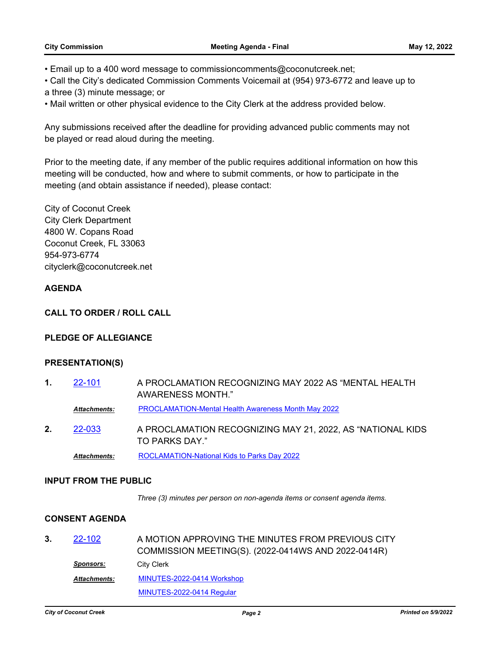- Email up to a 400 word message to commissioncomments@coconutcreek.net;
- Call the City's dedicated Commission Comments Voicemail at (954) 973-6772 and leave up to
- a three (3) minute message; or
- Mail written or other physical evidence to the City Clerk at the address provided below.

Any submissions received after the deadline for providing advanced public comments may not be played or read aloud during the meeting.

Prior to the meeting date, if any member of the public requires additional information on how this meeting will be conducted, how and where to submit comments, or how to participate in the meeting (and obtain assistance if needed), please contact:

City of Coconut Creek City Clerk Department 4800 W. Copans Road Coconut Creek, FL 33063 954-973-6774 cityclerk@coconutcreek.net

# **AGENDA**

#### **CALL TO ORDER / ROLL CALL**

# **PLEDGE OF ALLEGIANCE**

# **PRESENTATION(S)**

**1.** [22-101](http://coconutcreek.legistar.com/gateway.aspx?m=l&id=/matter.aspx?key=7476) A PROCLAMATION RECOGNIZING MAY 2022 AS "MENTAL HEALTH AWARENESS MONTH." *Attachments:* [PROCLAMATION-Mental Health Awareness Month May 2022](http://coconutcreek.legistar.com/gateway.aspx?M=F&ID=d9bd1e24-2408-4f0d-b634-22297e2262cc.docx) **2.** [22-033](http://coconutcreek.legistar.com/gateway.aspx?m=l&id=/matter.aspx?key=7355) A PROCLAMATION RECOGNIZING MAY 21, 2022, AS "NATIONAL KIDS TO PARKS DAY." *Attachments:* [ROCLAMATION-National Kids to Parks Day 2022](http://coconutcreek.legistar.com/gateway.aspx?M=F&ID=59f189a7-535b-490e-b1ef-06e88a95a8e3.docx)

#### **INPUT FROM THE PUBLIC**

*Three (3) minutes per person on non-agenda items or consent agenda items.*

# **CONSENT AGENDA**

**3.** [22-102](http://coconutcreek.legistar.com/gateway.aspx?m=l&id=/matter.aspx?key=7477) A MOTION APPROVING THE MINUTES FROM PREVIOUS CITY COMMISSION MEETING(S). (2022-0414WS AND 2022-0414R) *Sponsors:* City Clerk [MINUTES-2022-0414 Workshop](http://coconutcreek.legistar.com/gateway.aspx?M=F&ID=0962fc53-b40e-456e-884d-e20221fa6b5e.docx) [MINUTES-2022-0414 Regular](http://coconutcreek.legistar.com/gateway.aspx?M=F&ID=73a38295-b7ef-490b-83b7-04c8a1cc9ae6.docx) *Attachments:*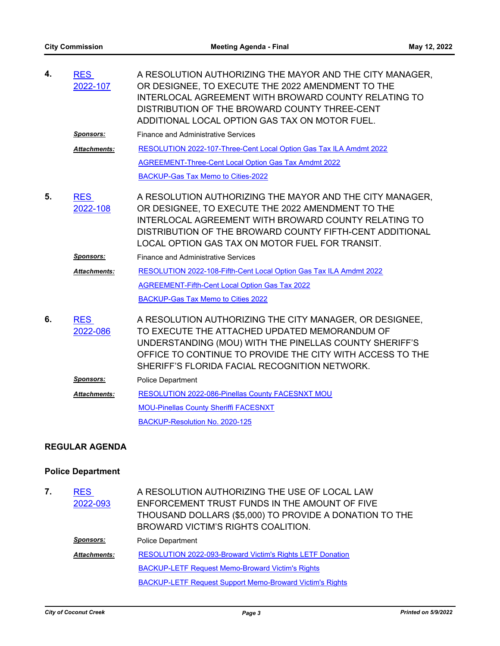| 4. | <b>RES</b><br>2022-107 | A RESOLUTION AUTHORIZING THE MAYOR AND THE CITY MANAGER,<br>OR DESIGNEE, TO EXECUTE THE 2022 AMENDMENT TO THE<br><b>INTERLOCAL AGREEMENT WITH BROWARD COUNTY RELATING TO</b><br>DISTRIBUTION OF THE BROWARD COUNTY THREE-CENT<br>ADDITIONAL LOCAL OPTION GAS TAX ON MOTOR FUEL.             |
|----|------------------------|---------------------------------------------------------------------------------------------------------------------------------------------------------------------------------------------------------------------------------------------------------------------------------------------|
|    | <u>Sponsors:</u>       | <b>Finance and Administrative Services</b>                                                                                                                                                                                                                                                  |
|    | <b>Attachments:</b>    | RESOLUTION 2022-107-Three-Cent Local Option Gas Tax ILA Amdmt 2022                                                                                                                                                                                                                          |
|    |                        | <b>AGREEMENT-Three-Cent Local Option Gas Tax Amdmt 2022</b>                                                                                                                                                                                                                                 |
|    |                        | BACKUP-Gas Tax Memo to Cities-2022                                                                                                                                                                                                                                                          |
| 5. | <b>RES</b><br>2022-108 | A RESOLUTION AUTHORIZING THE MAYOR AND THE CITY MANAGER,<br>OR DESIGNEE, TO EXECUTE THE 2022 AMENDMENT TO THE<br><b>INTERLOCAL AGREEMENT WITH BROWARD COUNTY RELATING TO</b><br>DISTRIBUTION OF THE BROWARD COUNTY FIFTH-CENT ADDITIONAL<br>LOCAL OPTION GAS TAX ON MOTOR FUEL FOR TRANSIT. |
|    | Sponsors:              | <b>Finance and Administrative Services</b>                                                                                                                                                                                                                                                  |
|    | <b>Attachments:</b>    | RESOLUTION 2022-108-Fifth-Cent Local Option Gas Tax ILA Amdmt 2022                                                                                                                                                                                                                          |
|    |                        | <b>AGREEMENT-Fifth-Cent Local Option Gas Tax 2022</b>                                                                                                                                                                                                                                       |
|    |                        | BACKUP-Gas Tax Memo to Cities 2022                                                                                                                                                                                                                                                          |
| 6. | <b>RES</b><br>2022-086 | A RESOLUTION AUTHORIZING THE CITY MANAGER, OR DESIGNEE,<br>TO EXECUTE THE ATTACHED UPDATED MEMORANDUM OF<br>UNDERSTANDING (MOU) WITH THE PINELLAS COUNTY SHERIFF'S<br>OFFICE TO CONTINUE TO PROVIDE THE CITY WITH ACCESS TO THE<br>SHERIFF'S FLORIDA FACIAL RECOGNITION NETWORK.            |
|    | <b>Sponsors:</b>       | <b>Police Department</b>                                                                                                                                                                                                                                                                    |
|    | <b>Attachments:</b>    | RESOLUTION 2022-086-Pinellas County FACESNXT MOU                                                                                                                                                                                                                                            |
|    |                        | <b>MOU-Pinellas County Sheriffi FACESNXT</b>                                                                                                                                                                                                                                                |
|    |                        | BACKUP-Resolution No. 2020-125                                                                                                                                                                                                                                                              |
|    |                        |                                                                                                                                                                                                                                                                                             |

# **REGULAR AGENDA**

# **Police Department**

| 7. | <b>RES</b><br>2022-093 | A RESOLUTION AUTHORIZING THE USE OF LOCAL LAW<br>ENFORCEMENT TRUST FUNDS IN THE AMOUNT OF FIVE<br>THOUSAND DOLLARS (\$5,000) TO PROVIDE A DONATION TO THE<br>BROWARD VICTIM'S RIGHTS COALITION. |
|----|------------------------|-------------------------------------------------------------------------------------------------------------------------------------------------------------------------------------------------|
|    | Sponsors:              | <b>Police Department</b>                                                                                                                                                                        |
|    | <b>Attachments:</b>    | <b>RESOLUTION 2022-093-Broward Victim's Rights LETF Donation</b>                                                                                                                                |
|    |                        | <b>BACKUP-LETF Request Memo-Broward Victim's Rights</b>                                                                                                                                         |
|    |                        | <b>BACKUP-LETF Request Support Memo-Broward Victim's Rights</b>                                                                                                                                 |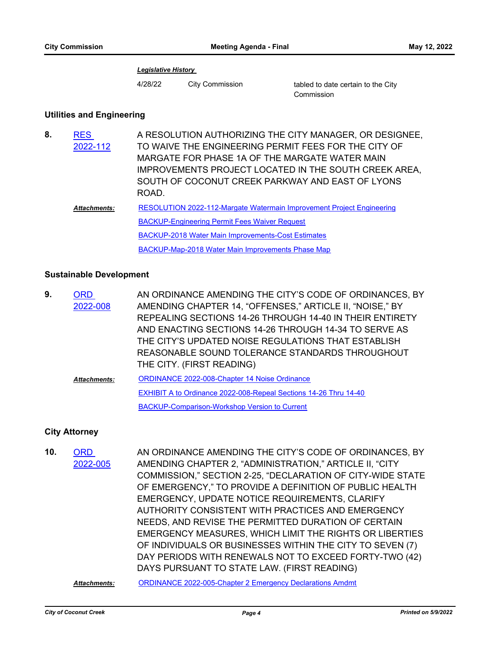#### *Legislative History*

4/28/22 City Commission tabled to date certain to the City

Commission

# **Utilities and Engineering**

| 8. | <b>RES</b><br>2022-112 | A RESOLUTION AUTHORIZING THE CITY MANAGER, OR DESIGNEE,<br>TO WAIVE THE ENGINEERING PERMIT FEES FOR THE CITY OF<br>MARGATE FOR PHASE 1A OF THE MARGATE WATER MAIN<br>IMPROVEMENTS PROJECT LOCATED IN THE SOUTH CREEK AREA,<br>SOUTH OF COCONUT CREEK PARKWAY AND EAST OF LYONS<br>ROAD. |
|----|------------------------|-----------------------------------------------------------------------------------------------------------------------------------------------------------------------------------------------------------------------------------------------------------------------------------------|
|    | <b>Attachments:</b>    | RESOLUTION 2022-112-Margate Watermain Improvement Project Engineering                                                                                                                                                                                                                   |
|    |                        | <b>BACKUP-Engineering Permit Fees Waiver Request</b>                                                                                                                                                                                                                                    |
|    |                        | <b>BACKUP-2018 Water Main Improvements-Cost Estimates</b>                                                                                                                                                                                                                               |
|    |                        | BACKUP-Map-2018 Water Main Improvements Phase Map                                                                                                                                                                                                                                       |

# **Sustainable Development**

| 9. | ORD                 | AN ORDINANCE AMENDING THE CITY'S CODE OF ORDINANCES, BY          |
|----|---------------------|------------------------------------------------------------------|
|    | 2022-008            | AMENDING CHAPTER 14, "OFFENSES," ARTICLE II, "NOISE," BY         |
|    |                     | REPEALING SECTIONS 14-26 THROUGH 14-40 IN THEIR ENTIRETY         |
|    |                     | AND ENACTING SECTIONS 14-26 THROUGH 14-34 TO SERVE AS            |
|    |                     | THE CITY'S UPDATED NOISE REGULATIONS THAT ESTABLISH              |
|    |                     | REASONABLE SOUND TOLERANCE STANDARDS THROUGHOUT                  |
|    |                     | THE CITY. (FIRST READING)                                        |
|    | <b>Attachments:</b> | <b>ORDINANCE 2022-008-Chapter 14 Noise Ordinance</b>             |
|    |                     | EXHIBIT A to Ordinance 2022-008-Repeal Sections 14-26 Thru 14-40 |
|    |                     | <b>BACKUP-Comparison-Workshop Version to Current</b>             |

# **City Attorney**

| 10. | <b>ORD</b><br>2022-005 | AN ORDINANCE AMENDING THE CITY'S CODE OF ORDINANCES, BY<br>AMENDING CHAPTER 2, "ADMINISTRATION," ARTICLE II, "CITY |
|-----|------------------------|--------------------------------------------------------------------------------------------------------------------|
|     |                        | COMMISSION," SECTION 2-25, "DECLARATION OF CITY-WIDE STATE                                                         |
|     |                        | OF EMERGENCY," TO PROVIDE A DEFINITION OF PUBLIC HEALTH                                                            |
|     |                        | EMERGENCY, UPDATE NOTICE REQUIREMENTS, CLARIFY                                                                     |
|     |                        | AUTHORITY CONSISTENT WITH PRACTICES AND EMERGENCY                                                                  |
|     |                        | NEEDS, AND REVISE THE PERMITTED DURATION OF CERTAIN                                                                |
|     |                        | <b>EMERGENCY MEASURES, WHICH LIMIT THE RIGHTS OR LIBERTIES</b>                                                     |
|     |                        | OF INDIVIDUALS OR BUSINESSES WITHIN THE CITY TO SEVEN (7)                                                          |
|     |                        | DAY PERIODS WITH RENEWALS NOT TO EXCEED FORTY-TWO (42)                                                             |
|     |                        | DAYS PURSUANT TO STATE LAW. (FIRST READING)                                                                        |
|     | <b>Attachments:</b>    | <b>ORDINANCE 2022-005-Chapter 2 Emergency Declarations Amdmt</b>                                                   |